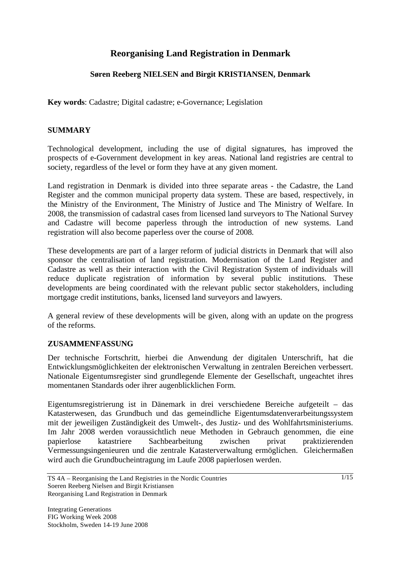# **Reorganising Land Registration in Denmark**

## **Søren Reeberg NIELSEN and Birgit KRISTIANSEN, Denmark**

**Key words**: Cadastre; Digital cadastre; e-Governance; Legislation

### **SUMMARY**

Technological development, including the use of digital signatures, has improved the prospects of e-Government development in key areas. National land registries are central to society, regardless of the level or form they have at any given moment.

Land registration in Denmark is divided into three separate areas - the Cadastre, the Land Register and the common municipal property data system. These are based, respectively, in the Ministry of the Environment, The Ministry of Justice and The Ministry of Welfare. In 2008, the transmission of cadastral cases from licensed land surveyors to The National Survey and Cadastre will become paperless through the introduction of new systems. Land registration will also become paperless over the course of 2008.

These developments are part of a larger reform of judicial districts in Denmark that will also sponsor the centralisation of land registration. Modernisation of the Land Register and Cadastre as well as their interaction with the Civil Registration System of individuals will reduce duplicate registration of information by several public institutions. These developments are being coordinated with the relevant public sector stakeholders, including mortgage credit institutions, banks, licensed land surveyors and lawyers.

A general review of these developments will be given, along with an update on the progress of the reforms.

### **ZUSAMMENFASSUNG**

Der technische Fortschritt, hierbei die Anwendung der digitalen Unterschrift, hat die Entwicklungsmöglichkeiten der elektronischen Verwaltung in zentralen Bereichen verbessert. Nationale Eigentumsregister sind grundlegende Elemente der Gesellschaft, ungeachtet ihres momentanen Standards oder ihrer augenblicklichen Form.

Eigentumsregistrierung ist in Dänemark in drei verschiedene Bereiche aufgeteilt – das Katasterwesen, das Grundbuch und das gemeindliche Eigentumsdatenverarbeitungssystem mit der jeweiligen Zuständigkeit des Umwelt-, des Justiz- und des Wohlfahrtsministeriums. Im Jahr 2008 werden voraussichtlich neue Methoden in Gebrauch genommen, die eine papierlose katastriere Sachbearbeitung zwischen privat praktizierenden Vermessungsingenieuren und die zentrale Katasterverwaltung ermöglichen. Gleichermaßen wird auch die Grundbucheintragung im Laufe 2008 papierlosen werden.

TS 4A – Reorganising the Land Registries in the Nordic Countries Soeren Reeberg Nielsen and Birgit Kristiansen Reorganising Land Registration in Denmark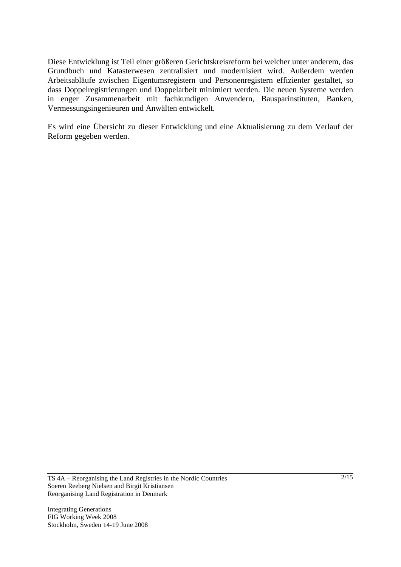Diese Entwicklung ist Teil einer größeren Gerichtskreisreform bei welcher unter anderem, das Grundbuch und Katasterwesen zentralisiert und modernisiert wird. Außerdem werden Arbeitsabläufe zwischen Eigentumsregistern und Personenregistern effizienter gestaltet, so dass Doppelregistrierungen und Doppelarbeit minimiert werden. Die neuen Systeme werden in enger Zusammenarbeit mit fachkundigen Anwendern, Bausparinstituten, Banken, Vermessungsingenieuren und Anwälten entwickelt.

Es wird eine Übersicht zu dieser Entwicklung und eine Aktualisierung zu dem Verlauf der Reform gegeben werden.

TS 4A – Reorganising the Land Registries in the Nordic Countries Soeren Reeberg Nielsen and Birgit Kristiansen Reorganising Land Registration in Denmark

Integrating Generations FIG Working Week 2008 Stockholm, Sweden 14-19 June 2008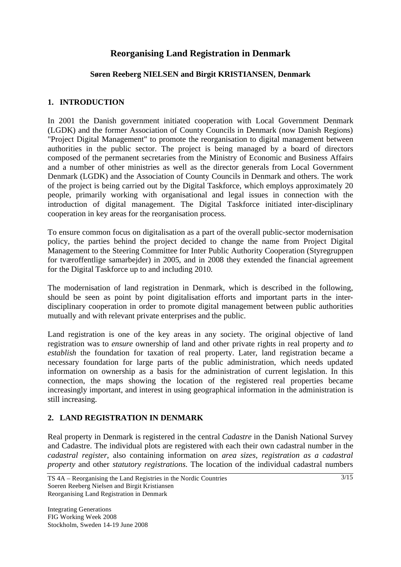# **Reorganising Land Registration in Denmark**

### **Søren Reeberg NIELSEN and Birgit KRISTIANSEN, Denmark**

### **1. INTRODUCTION**

In 2001 the Danish government initiated cooperation with Local Government Denmark (LGDK) and the former Association of County Councils in Denmark (now Danish Regions) "Project Digital Management" to promote the reorganisation to digital management between authorities in the public sector. The project is being managed by a board of directors composed of the permanent secretaries from the Ministry of Economic and Business Affairs and a number of other ministries as well as the director generals from Local Government Denmark (LGDK) and the Association of County Councils in Denmark and others. The work of the project is being carried out by the Digital Taskforce, which employs approximately 20 people, primarily working with organisational and legal issues in connection with the introduction of digital management. The Digital Taskforce initiated inter-disciplinary cooperation in key areas for the reorganisation process.

To ensure common focus on digitalisation as a part of the overall public-sector modernisation policy, the parties behind the project decided to change the name from Project Digital Management to the Steering Committee for Inter Public Authority Cooperation (Styregruppen for tværoffentlige samarbejder) in 2005, and in 2008 they extended the financial agreement for the Digital Taskforce up to and including 2010.

The modernisation of land registration in Denmark, which is described in the following, should be seen as point by point digitalisation efforts and important parts in the interdisciplinary cooperation in order to promote digital management between public authorities mutually and with relevant private enterprises and the public.

Land registration is one of the key areas in any society. The original objective of land registration was to *ensure* ownership of land and other private rights in real property and *to establish* the foundation for taxation of real property. Later, land registration became a necessary foundation for large parts of the public administration, which needs updated information on ownership as a basis for the administration of current legislation. In this connection, the maps showing the location of the registered real properties became increasingly important, and interest in using geographical information in the administration is still increasing.

## **2. LAND REGISTRATION IN DENMARK**

Real property in Denmark is registered in the central *Cadastre* in the Danish National Survey and Cadastre. The individual plots are registered with each their own cadastral number in the *cadastral register*, also containing information on *area sizes, registration as a cadastral property* and other *statutory registrations*. The location of the individual cadastral numbers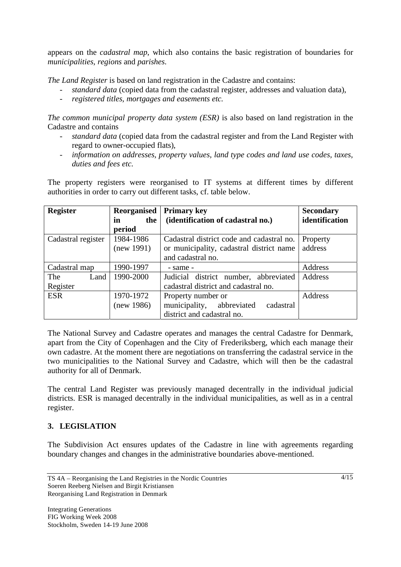appears on the *cadastral map*, which also contains the basic registration of boundaries for *municipalities, regions* and *parishes*.

*The Land Register* is based on land registration in the Cadastre and contains:

- *standard data* (copied data from the cadastral register, addresses and valuation data),
- *registered titles, mortgages and easements etc.*

*The common municipal property data system (ESR)* is also based on land registration in the Cadastre and contains

- *standard data* (copied data from the cadastral register and from the Land Register with regard to owner-occupied flats),
- *information on addresses, property values, land type codes and land use codes, taxes, duties and fees etc.*

The property registers were reorganised to IT systems at different times by different authorities in order to carry out different tasks, cf. table below.

| <b>Register</b>    | Reorganised | <b>Primary key</b>                        | <b>Secondary</b> |
|--------------------|-------------|-------------------------------------------|------------------|
|                    | the<br>in   | (identification of cadastral no.)         | identification   |
|                    | period      |                                           |                  |
| Cadastral register | 1984-1986   | Cadastral district code and cadastral no. | Property         |
|                    | (new 1991)  | or municipality, cadastral district name  | address          |
|                    |             | and cadastral no.                         |                  |
| Cadastral map      | 1990-1997   | - same -                                  | Address          |
| The<br>Land        | 1990-2000   | Judicial district number, abbreviated     | Address          |
| Register           |             | cadastral district and cadastral no.      |                  |
| <b>ESR</b>         | 1970-1972   | Property number or                        | Address          |
|                    | (new 1986)  | municipality, abbreviated<br>cadastral    |                  |
|                    |             | district and cadastral no.                |                  |

The National Survey and Cadastre operates and manages the central Cadastre for Denmark, apart from the City of Copenhagen and the City of Frederiksberg, which each manage their own cadastre. At the moment there are negotiations on transferring the cadastral service in the two municipalities to the National Survey and Cadastre, which will then be the cadastral authority for all of Denmark.

The central Land Register was previously managed decentrally in the individual judicial districts. ESR is managed decentrally in the individual municipalities, as well as in a central register.

### **3. LEGISLATION**

The Subdivision Act ensures updates of the Cadastre in line with agreements regarding boundary changes and changes in the administrative boundaries above-mentioned.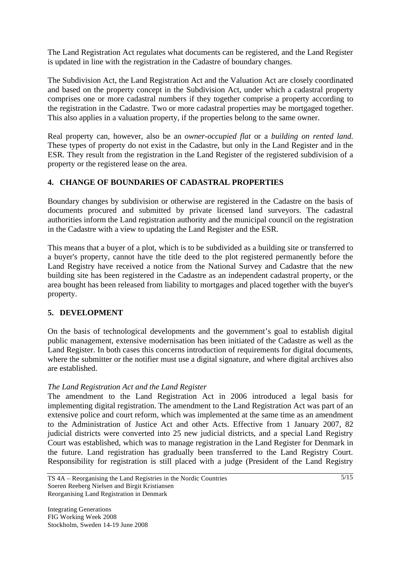The Land Registration Act regulates what documents can be registered, and the Land Register is updated in line with the registration in the Cadastre of boundary changes.

The Subdivision Act, the Land Registration Act and the Valuation Act are closely coordinated and based on the property concept in the Subdivision Act, under which a cadastral property comprises one or more cadastral numbers if they together comprise a property according to the registration in the Cadastre. Two or more cadastral properties may be mortgaged together. This also applies in a valuation property, if the properties belong to the same owner.

Real property can, however, also be an *owner-occupied flat* or a *building on rented land*. These types of property do not exist in the Cadastre, but only in the Land Register and in the ESR. They result from the registration in the Land Register of the registered subdivision of a property or the registered lease on the area.

## **4. CHANGE OF BOUNDARIES OF CADASTRAL PROPERTIES**

Boundary changes by subdivision or otherwise are registered in the Cadastre on the basis of documents procured and submitted by private licensed land surveyors. The cadastral authorities inform the Land registration authority and the municipal council on the registration in the Cadastre with a view to updating the Land Register and the ESR.

This means that a buyer of a plot, which is to be subdivided as a building site or transferred to a buyer's property, cannot have the title deed to the plot registered permanently before the Land Registry have received a notice from the National Survey and Cadastre that the new building site has been registered in the Cadastre as an independent cadastral property, or the area bought has been released from liability to mortgages and placed together with the buyer's property.

### **5. DEVELOPMENT**

On the basis of technological developments and the government's goal to establish digital public management, extensive modernisation has been initiated of the Cadastre as well as the Land Register. In both cases this concerns introduction of requirements for digital documents, where the submitter or the notifier must use a digital signature, and where digital archives also are established.

### *The Land Registration Act and the Land Register*

The amendment to the Land Registration Act in 2006 introduced a legal basis for implementing digital registration. The amendment to the Land Registration Act was part of an extensive police and court reform, which was implemented at the same time as an amendment to the Administration of Justice Act and other Acts. Effective from 1 January 2007, 82 judicial districts were converted into 25 new judicial districts, and a special Land Registry Court was established, which was to manage registration in the Land Register for Denmark in the future. Land registration has gradually been transferred to the Land Registry Court. Responsibility for registration is still placed with a judge (President of the Land Registry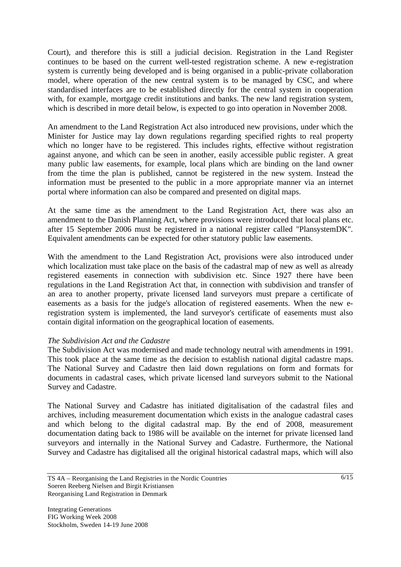Court), and therefore this is still a judicial decision. Registration in the Land Register continues to be based on the current well-tested registration scheme. A new e-registration system is currently being developed and is being organised in a public-private collaboration model, where operation of the new central system is to be managed by CSC, and where standardised interfaces are to be established directly for the central system in cooperation with, for example, mortgage credit institutions and banks. The new land registration system, which is described in more detail below, is expected to go into operation in November 2008.

An amendment to the Land Registration Act also introduced new provisions, under which the Minister for Justice may lay down regulations regarding specified rights to real property which no longer have to be registered. This includes rights, effective without registration against anyone, and which can be seen in another, easily accessible public register. A great many public law easements, for example, local plans which are binding on the land owner from the time the plan is published, cannot be registered in the new system. Instead the information must be presented to the public in a more appropriate manner via an internet portal where information can also be compared and presented on digital maps.

At the same time as the amendment to the Land Registration Act, there was also an amendment to the Danish Planning Act, where provisions were introduced that local plans etc. after 15 September 2006 must be registered in a national register called "PlansystemDK". Equivalent amendments can be expected for other statutory public law easements.

With the amendment to the Land Registration Act, provisions were also introduced under which localization must take place on the basis of the cadastral map of new as well as already registered easements in connection with subdivision etc. Since 1927 there have been regulations in the Land Registration Act that, in connection with subdivision and transfer of an area to another property, private licensed land surveyors must prepare a certificate of easements as a basis for the judge's allocation of registered easements. When the new eregistration system is implemented, the land surveyor's certificate of easements must also contain digital information on the geographical location of easements.

### *The Subdivision Act and the Cadastre*

The Subdivision Act was modernised and made technology neutral with amendments in 1991. This took place at the same time as the decision to establish national digital cadastre maps. The National Survey and Cadastre then laid down regulations on form and formats for documents in cadastral cases, which private licensed land surveyors submit to the National Survey and Cadastre.

The National Survey and Cadastre has initiated digitalisation of the cadastral files and archives, including measurement documentation which exists in the analogue cadastral cases and which belong to the digital cadastral map. By the end of 2008, measurement documentation dating back to 1986 will be available on the internet for private licensed land surveyors and internally in the National Survey and Cadastre. Furthermore, the National Survey and Cadastre has digitalised all the original historical cadastral maps, which will also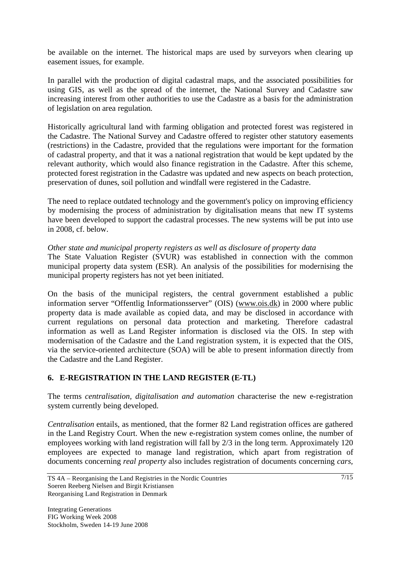be available on the internet. The historical maps are used by surveyors when clearing up easement issues, for example.

In parallel with the production of digital cadastral maps, and the associated possibilities for using GIS, as well as the spread of the internet, the National Survey and Cadastre saw increasing interest from other authorities to use the Cadastre as a basis for the administration of legislation on area regulation.

Historically agricultural land with farming obligation and protected forest was registered in the Cadastre. The National Survey and Cadastre offered to register other statutory easements (restrictions) in the Cadastre, provided that the regulations were important for the formation of cadastral property, and that it was a national registration that would be kept updated by the relevant authority, which would also finance registration in the Cadastre. After this scheme, protected forest registration in the Cadastre was updated and new aspects on beach protection, preservation of dunes, soil pollution and windfall were registered in the Cadastre.

The need to replace outdated technology and the government's policy on improving efficiency by modernising the process of administration by digitalisation means that new IT systems have been developed to support the cadastral processes. The new systems will be put into use in 2008, cf. below.

### *Other state and municipal property registers as well as disclosure of property data*

The State Valuation Register (SVUR) was established in connection with the common municipal property data system (ESR). An analysis of the possibilities for modernising the municipal property registers has not yet been initiated.

On the basis of the municipal registers, the central government established a public information server "Offentlig Informationsserver" (OIS) (www.ois.dk) in 2000 where public property data is made available as copied data, and may be disclosed in accordance with current regulations on personal data protection and marketing. Therefore cadastral information as well as Land Register information is disclosed via the OIS. In step with modernisation of the Cadastre and the Land registration system, it is expected that the OIS, via the service-oriented architecture (SOA) will be able to present information directly from the Cadastre and the Land Register.

## **6. E-REGISTRATION IN THE LAND REGISTER (E-TL)**

The terms *centralisation, digitalisation and automation* characterise the new e-registration system currently being developed.

*Centralisation* entails, as mentioned, that the former 82 Land registration offices are gathered in the Land Registry Court. When the new e-registration system comes online, the number of employees working with land registration will fall by 2/3 in the long term. Approximately 120 employees are expected to manage land registration, which apart from registration of documents concerning *real property* also includes registration of documents concerning *cars,*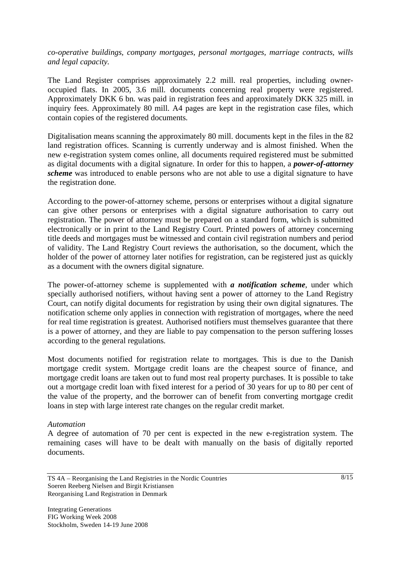*co-operative buildings, company mortgages, personal mortgages, marriage contracts, wills and legal capacity.* 

The Land Register comprises approximately 2.2 mill. real properties, including owneroccupied flats. In 2005, 3.6 mill. documents concerning real property were registered. Approximately DKK 6 bn. was paid in registration fees and approximately DKK 325 mill. in inquiry fees. Approximately 80 mill. A4 pages are kept in the registration case files, which contain copies of the registered documents.

Digitalisation means scanning the approximately 80 mill. documents kept in the files in the 82 land registration offices. Scanning is currently underway and is almost finished. When the new e-registration system comes online, all documents required registered must be submitted as digital documents with a digital signature. In order for this to happen, a *power-of-attorney scheme* was introduced to enable persons who are not able to use a digital signature to have the registration done.

According to the power-of-attorney scheme, persons or enterprises without a digital signature can give other persons or enterprises with a digital signature authorisation to carry out registration. The power of attorney must be prepared on a standard form, which is submitted electronically or in print to the Land Registry Court. Printed powers of attorney concerning title deeds and mortgages must be witnessed and contain civil registration numbers and period of validity. The Land Registry Court reviews the authorisation, so the document, which the holder of the power of attorney later notifies for registration, can be registered just as quickly as a document with the owners digital signature.

The power-of-attorney scheme is supplemented with *a notification scheme*, under which specially authorised notifiers, without having sent a power of attorney to the Land Registry Court, can notify digital documents for registration by using their own digital signatures. The notification scheme only applies in connection with registration of mortgages, where the need for real time registration is greatest. Authorised notifiers must themselves guarantee that there is a power of attorney, and they are liable to pay compensation to the person suffering losses according to the general regulations.

Most documents notified for registration relate to mortgages. This is due to the Danish mortgage credit system. Mortgage credit loans are the cheapest source of finance, and mortgage credit loans are taken out to fund most real property purchases. It is possible to take out a mortgage credit loan with fixed interest for a period of 30 years for up to 80 per cent of the value of the property, and the borrower can of benefit from converting mortgage credit loans in step with large interest rate changes on the regular credit market.

#### *Automation*

A degree of automation of 70 per cent is expected in the new e-registration system. The remaining cases will have to be dealt with manually on the basis of digitally reported documents.

TS 4A – Reorganising the Land Registries in the Nordic Countries Soeren Reeberg Nielsen and Birgit Kristiansen Reorganising Land Registration in Denmark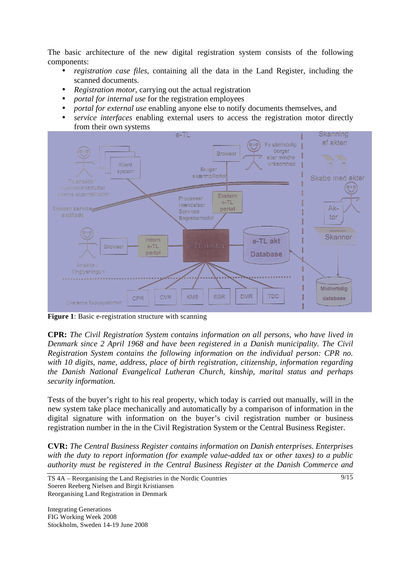The basic architecture of the new digital registration system consists of the following components:

- *registration case files*, containing all the data in the Land Register, including the scanned documents.
- *Registration motor*, carrying out the actual registration
- *portal for internal use* for the registration employees
- *portal for external use* enabling anyone else to notify documents themselves, and
- *service interfaces* enabling external users to access the registration motor directly from their own systems



**Figure 1**: Basic e-registration structure with scanning

**CPR:** *The Civil Registration System contains information on all persons, who have lived in Denmark since 2 April 1968 and have been registered in a Danish municipality. The Civil Registration System contains the following information on the individual person: CPR no. with 10 digits, name, address, place of birth registration, citizenship, information regarding the Danish National Evangelical Lutheran Church, kinship, marital status and perhaps security information.* 

Tests of the buyer's right to his real property, which today is carried out manually, will in the new system take place mechanically and automatically by a comparison of information in the digital signature with information on the buyer's civil registration number or business registration number in the in the Civil Registration System or the Central Business Register.

**CVR:** *The Central Business Register contains information on Danish enterprises. Enterprises with the duty to report information (for example value-added tax or other taxes) to a public authority must be registered in the Central Business Register at the Danish Commerce and*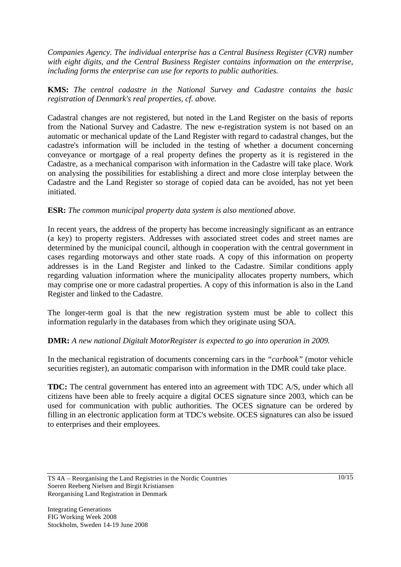*Companies Agency. The individual enterprise has a Central Business Register (CVR) number with eight digits, and the Central Business Register contains information on the enterprise, including forms the enterprise can use for reports to public authorities.* 

**KMS:** *The central cadastre in the National Survey and Cadastre contains the basic registration of Denmark's real properties, cf. above.* 

Cadastral changes are not registered, but noted in the Land Register on the basis of reports from the National Survey and Cadastre. The new e-registration system is not based on an automatic or mechanical update of the Land Register with regard to cadastral changes, but the cadastre's information will be included in the testing of whether a document concerning conveyance or mortgage of a real property defines the property as it is registered in the Cadastre, as a mechanical comparison with information in the Cadastre will take place. Work on analysing the possibilities for establishing a direct and more close interplay between the Cadastre and the Land Register so storage of copied data can be avoided, has not yet been initiated.

### **ESR:** *The common municipal property data system is also mentioned above.*

In recent years, the address of the property has become increasingly significant as an entrance (a key) to property registers. Addresses with associated street codes and street names are determined by the municipal council, although in cooperation with the central government in cases regarding motorways and other state roads. A copy of this information on property addresses is in the Land Register and linked to the Cadastre. Similar conditions apply regarding valuation information where the municipality allocates property numbers, which may comprise one or more cadastral properties. A copy of this information is also in the Land Register and linked to the Cadastre.

The longer-term goal is that the new registration system must be able to collect this information regularly in the databases from which they originate using SOA.

### **DMR:** *A new national Digitalt MotorRegister is expected to go into operation in 2009.*

In the mechanical registration of documents concerning cars in the *"carbook"* (motor vehicle securities register), an automatic comparison with information in the DMR could take place.

**TDC:** The central government has entered into an agreement with TDC A/S, under which all citizens have been able to freely acquire a digital OCES signature since 2003, which can be used for communication with public authorities. The OCES signature can be ordered by filling in an electronic application form at TDC's website. OCES signatures can also be issued to enterprises and their employees.

TS 4A – Reorganising the Land Registries in the Nordic Countries Soeren Reeberg Nielsen and Birgit Kristiansen Reorganising Land Registration in Denmark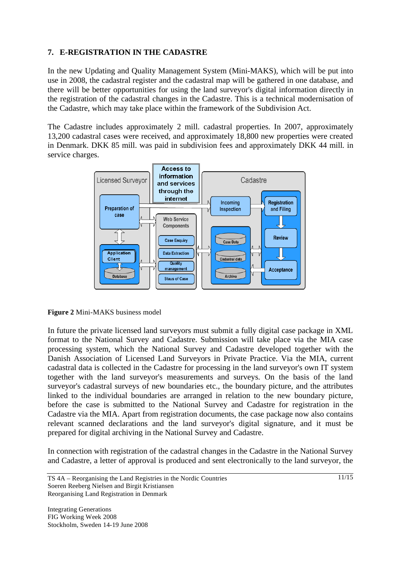## **7. E-REGISTRATION IN THE CADASTRE**

In the new Updating and Quality Management System (Mini-MAKS), which will be put into use in 2008, the cadastral register and the cadastral map will be gathered in one database, and there will be better opportunities for using the land surveyor's digital information directly in the registration of the cadastral changes in the Cadastre. This is a technical modernisation of the Cadastre, which may take place within the framework of the Subdivision Act.

The Cadastre includes approximately 2 mill. cadastral properties. In 2007, approximately 13,200 cadastral cases were received, and approximately 18,800 new properties were created in Denmark. DKK 85 mill. was paid in subdivision fees and approximately DKK 44 mill. in service charges.





In future the private licensed land surveyors must submit a fully digital case package in XML format to the National Survey and Cadastre. Submission will take place via the MIA case processing system, which the National Survey and Cadastre developed together with the Danish Association of Licensed Land Surveyors in Private Practice. Via the MIA, current cadastral data is collected in the Cadastre for processing in the land surveyor's own IT system together with the land surveyor's measurements and surveys. On the basis of the land surveyor's cadastral surveys of new boundaries etc., the boundary picture, and the attributes linked to the individual boundaries are arranged in relation to the new boundary picture, before the case is submitted to the National Survey and Cadastre for registration in the Cadastre via the MIA. Apart from registration documents, the case package now also contains relevant scanned declarations and the land surveyor's digital signature, and it must be prepared for digital archiving in the National Survey and Cadastre.

In connection with registration of the cadastral changes in the Cadastre in the National Survey and Cadastre, a letter of approval is produced and sent electronically to the land surveyor, the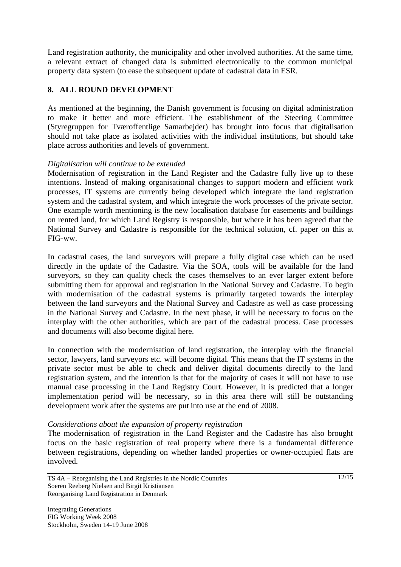Land registration authority, the municipality and other involved authorities. At the same time, a relevant extract of changed data is submitted electronically to the common municipal property data system (to ease the subsequent update of cadastral data in ESR.

### **8. ALL ROUND DEVELOPMENT**

As mentioned at the beginning, the Danish government is focusing on digital administration to make it better and more efficient. The establishment of the Steering Committee (Styregruppen for Tværoffentlige Samarbejder) has brought into focus that digitalisation should not take place as isolated activities with the individual institutions, but should take place across authorities and levels of government.

### *Digitalisation will continue to be extended*

Modernisation of registration in the Land Register and the Cadastre fully live up to these intentions. Instead of making organisational changes to support modern and efficient work processes, IT systems are currently being developed which integrate the land registration system and the cadastral system, and which integrate the work processes of the private sector. One example worth mentioning is the new localisation database for easements and buildings on rented land, for which Land Registry is responsible, but where it has been agreed that the National Survey and Cadastre is responsible for the technical solution, cf. paper on this at FIG-ww.

In cadastral cases, the land surveyors will prepare a fully digital case which can be used directly in the update of the Cadastre. Via the SOA, tools will be available for the land surveyors, so they can quality check the cases themselves to an ever larger extent before submitting them for approval and registration in the National Survey and Cadastre. To begin with modernisation of the cadastral systems is primarily targeted towards the interplay between the land surveyors and the National Survey and Cadastre as well as case processing in the National Survey and Cadastre. In the next phase, it will be necessary to focus on the interplay with the other authorities, which are part of the cadastral process. Case processes and documents will also become digital here.

In connection with the modernisation of land registration, the interplay with the financial sector, lawyers, land surveyors etc. will become digital. This means that the IT systems in the private sector must be able to check and deliver digital documents directly to the land registration system, and the intention is that for the majority of cases it will not have to use manual case processing in the Land Registry Court. However, it is predicted that a longer implementation period will be necessary, so in this area there will still be outstanding development work after the systems are put into use at the end of 2008.

#### *Considerations about the expansion of property registration*

The modernisation of registration in the Land Register and the Cadastre has also brought focus on the basic registration of real property where there is a fundamental difference between registrations, depending on whether landed properties or owner-occupied flats are involved.

TS 4A – Reorganising the Land Registries in the Nordic Countries Soeren Reeberg Nielsen and Birgit Kristiansen Reorganising Land Registration in Denmark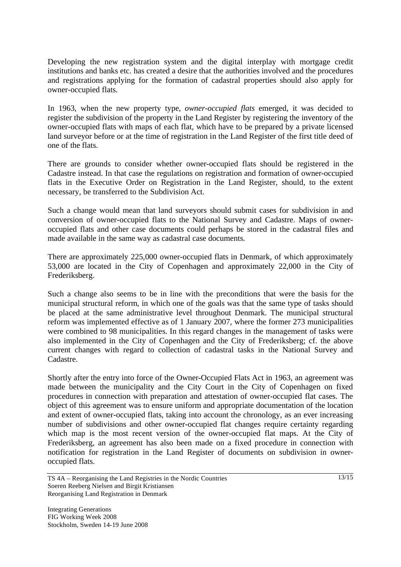Developing the new registration system and the digital interplay with mortgage credit institutions and banks etc. has created a desire that the authorities involved and the procedures and registrations applying for the formation of cadastral properties should also apply for owner-occupied flats.

In 1963, when the new property type, *owner-occupied flats* emerged, it was decided to register the subdivision of the property in the Land Register by registering the inventory of the owner-occupied flats with maps of each flat, which have to be prepared by a private licensed land surveyor before or at the time of registration in the Land Register of the first title deed of one of the flats.

There are grounds to consider whether owner-occupied flats should be registered in the Cadastre instead. In that case the regulations on registration and formation of owner-occupied flats in the Executive Order on Registration in the Land Register, should, to the extent necessary, be transferred to the Subdivision Act.

Such a change would mean that land surveyors should submit cases for subdivision in and conversion of owner-occupied flats to the National Survey and Cadastre. Maps of owneroccupied flats and other case documents could perhaps be stored in the cadastral files and made available in the same way as cadastral case documents.

There are approximately 225,000 owner-occupied flats in Denmark, of which approximately 53,000 are located in the City of Copenhagen and approximately 22,000 in the City of Frederiksberg.

Such a change also seems to be in line with the preconditions that were the basis for the municipal structural reform, in which one of the goals was that the same type of tasks should be placed at the same administrative level throughout Denmark. The municipal structural reform was implemented effective as of 1 January 2007, where the former 273 municipalities were combined to 98 municipalities. In this regard changes in the management of tasks were also implemented in the City of Copenhagen and the City of Frederiksberg; cf. the above current changes with regard to collection of cadastral tasks in the National Survey and Cadastre.

Shortly after the entry into force of the Owner-Occupied Flats Act in 1963, an agreement was made between the municipality and the City Court in the City of Copenhagen on fixed procedures in connection with preparation and attestation of owner-occupied flat cases. The object of this agreement was to ensure uniform and appropriate documentation of the location and extent of owner-occupied flats, taking into account the chronology, as an ever increasing number of subdivisions and other owner-occupied flat changes require certainty regarding which map is the most recent version of the owner-occupied flat maps. At the City of Frederiksberg, an agreement has also been made on a fixed procedure in connection with notification for registration in the Land Register of documents on subdivision in owneroccupied flats.

TS 4A – Reorganising the Land Registries in the Nordic Countries Soeren Reeberg Nielsen and Birgit Kristiansen Reorganising Land Registration in Denmark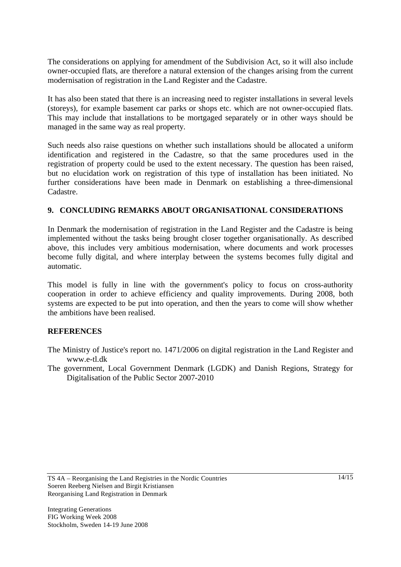The considerations on applying for amendment of the Subdivision Act, so it will also include owner-occupied flats, are therefore a natural extension of the changes arising from the current modernisation of registration in the Land Register and the Cadastre.

It has also been stated that there is an increasing need to register installations in several levels (storeys), for example basement car parks or shops etc. which are not owner-occupied flats. This may include that installations to be mortgaged separately or in other ways should be managed in the same way as real property.

Such needs also raise questions on whether such installations should be allocated a uniform identification and registered in the Cadastre, so that the same procedures used in the registration of property could be used to the extent necessary. The question has been raised, but no elucidation work on registration of this type of installation has been initiated. No further considerations have been made in Denmark on establishing a three-dimensional Cadastre.

### **9. CONCLUDING REMARKS ABOUT ORGANISATIONAL CONSIDERATIONS**

In Denmark the modernisation of registration in the Land Register and the Cadastre is being implemented without the tasks being brought closer together organisationally. As described above, this includes very ambitious modernisation, where documents and work processes become fully digital, and where interplay between the systems becomes fully digital and automatic.

This model is fully in line with the government's policy to focus on cross-authority cooperation in order to achieve efficiency and quality improvements. During 2008, both systems are expected to be put into operation, and then the years to come will show whether the ambitions have been realised.

### **REFERENCES**

- The Ministry of Justice's report no. 1471/2006 on digital registration in the Land Register and www.e-tl.dk
- The government, Local Government Denmark (LGDK) and Danish Regions, Strategy for Digitalisation of the Public Sector 2007-2010

TS 4A – Reorganising the Land Registries in the Nordic Countries Soeren Reeberg Nielsen and Birgit Kristiansen Reorganising Land Registration in Denmark